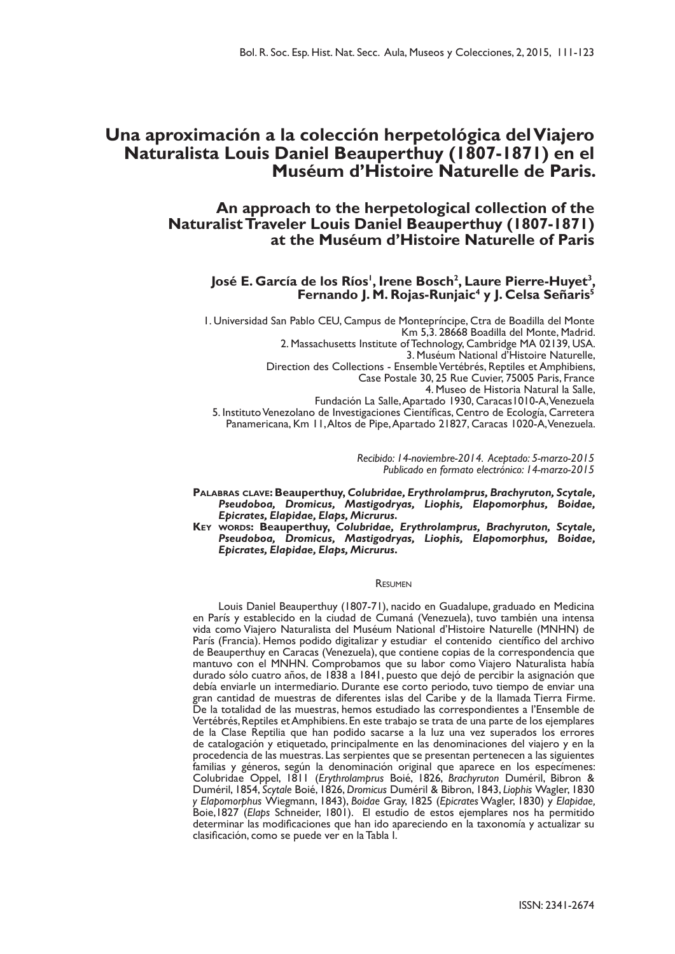# **Una aproximación a la colección herpetológica del Viajero Naturalista Louis Daniel Beauperthuy (1807-1871) en el Muséum d'Histoire Naturelle de Paris.**

**An approach to the herpetological collection of the Naturalist Traveler Louis Daniel Beauperthuy (1807-1871) at the Muséum d'Histoire Naturelle of Paris**

## José E. García de los Ríos', Irene Bosch<sup>2</sup>, Laure Pierre-Huyet<sup>3</sup>, **Fernando J. M. Rojas-Runjaic4 y J. Celsa Señaris5**

1. Universidad San Pablo CEU, Campus de Montepríncipe, Ctra de Boadilla del Monte Km 5,3. 28668 Boadilla del Monte, Madrid. 2. Massachusetts Institute of Technology, Cambridge MA 02139, USA. 3. Muséum National d'Histoire Naturelle, Direction des Collections - Ensemble Vertébrés, Reptiles et Amphibiens, Case Postale 30, 25 Rue Cuvier, 75005 Paris, France 4. Museo de Historia Natural la Salle, Fundación La Salle, Apartado 1930, Caracas1010-A, Venezuela 5. Instituto Venezolano de Investigaciones Científicas, Centro de Ecología, Carretera Panamericana, Km 11, Altos de Pipe, Apartado 21827, Caracas 1020-A, Venezuela.

> *Recibido: 14-noviembre-2014. Aceptado: 5-marzo-2015 Publicado en formato electrónico: 14-marzo-2015*

- **Palabras clave: Beauperthuy,** *Colubridae, Erythrolamprus, Brachyruton, Scytale, Pseudoboa, Dromicus, Mastigodryas, Liophis, Elapomorphus, Boidae, Epicrates, Elapidae, Elaps, Micrurus.*
- **Key words: Beauperthuy,** *Colubridae, Erythrolamprus, Brachyruton, Scytale, Pseudoboa, Dromicus, Mastigodryas, Liophis, Elapomorphus, Boidae, Epicrates, Elapidae, Elaps, Micrurus***.**

#### Resumen

Louis Daniel Beauperthuy (1807-71), nacido en Guadalupe, graduado en Medicina en París y establecido en la ciudad de Cumaná (Venezuela), tuvo también una intensa vida como Viajero Naturalista del Muséum National d'Histoire Naturelle (MNHN) de París (Francia). Hemos podido digitalizar y estudiar el contenido científico del archivo de Beauperthuy en Caracas (Venezuela), que contiene copias de la correspondencia que mantuvo con el MNHN. Comprobamos que su labor como Viajero Naturalista había durado sólo cuatro años, de 1838 a 1841, puesto que dejó de percibir la asignación que debía enviarle un intermediario. Durante ese corto periodo, tuvo tiempo de enviar una gran cantidad de muestras de diferentes islas del Caribe y de la llamada Tierra Firme. De la totalidad de las muestras, hemos estudiado las correspondientes a l'Ensemble de Vertébrés, Reptiles et Amphibiens. En este trabajo se trata de una parte de los ejemplares de la Clase Reptilia que han podido sacarse a la luz una vez superados los errores de catalogación y etiquetado, principalmente en las denominaciones del viajero y en la procedencia de las muestras. Las serpientes que se presentan pertenecen a las siguientes familias y géneros, según la denominación original que aparece en los especímenes: Colubridae Oppel, 1811 (*Erythrolamprus* Boié, 1826, *Brachyruton* Duméril, Bibron & Duméril, 1854, *Scytale* Boié, 1826, *Dromicus* Duméril & Bibron, 1843, *Liophis* Wagler, 1830 *y Elapomorphus* Wiegmann, 1843), *Boidae* Gray, 1825 (*Epicrates* Wagler, 1830) y *Elapidae,*  Boie,1827 (*Elaps* Schneider, 1801). El estudio de estos ejemplares nos ha permitido determinar las modificaciones que han ido apareciendo en la taxonomía y actualizar su clasificación, como se puede ver en la Tabla I.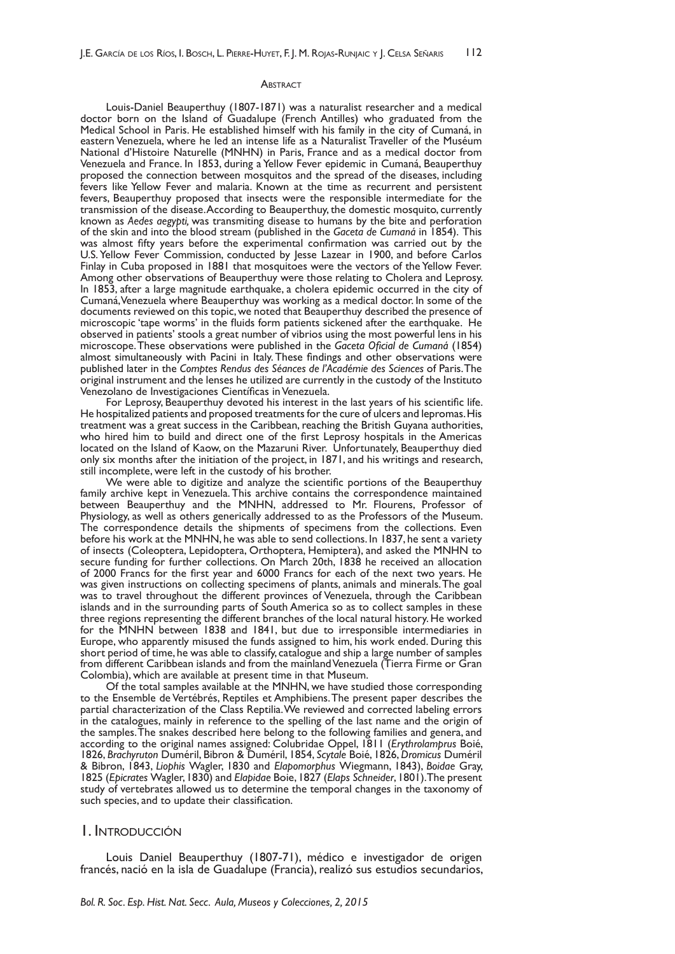#### **ABSTRACT**

Louis-Daniel Beauperthuy (1807-1871) was a naturalist researcher and a medical doctor born on the Island of Guadalupe (French Antilles) who graduated from the Medical School in Paris. He established himself with his family in the city of Cumaná, in eastern Venezuela, where he led an intense life as a Naturalist Traveller of the Muséum National d'Histoire Naturelle (MNHN) in Paris, France and as a medical doctor from Venezuela and France. In 1853, during a Yellow Fever epidemic in Cumaná, Beauperthuy proposed the connection between mosquitos and the spread of the diseases, including fevers like Yellow Fever and malaria. Known at the time as recurrent and persistent fevers, Beauperthuy proposed that insects were the responsible intermediate for the transmission of the disease. According to Beauperthuy, the domestic mosquito, currently known as *Aedes aegypti,* was transmiting disease to humans by the bite and perforation of the skin and into the blood stream (published in the *Gaceta de Cumaná* in 1854). This was almost fifty years before the experimental confirmation was carried out by the U.S. Yellow Fever Commission, conducted by Jesse Lazear in 1900, and before Carlos Finlay in Cuba proposed in 1881 that mosquitoes were the vectors of the Yellow Fever. Among other observations of Beauperthuy were those relating to Cholera and Leprosy. In 1853, after a large magnitude earthquake, a cholera epidemic occurred in the city of Cumaná, Venezuela where Beauperthuy was working as a medical doctor. In some of the documents reviewed on this topic, we noted that Beauperthuy described the presence of microscopic 'tape worms' in the fluids form patients sickened after the earthquake. He observed in patients' stools a great number of vibrios using the most powerful lens in his microscope. These observations were published in the *Gaceta Oficial de Cumaná* (1854) almost simultaneously with Pacini in Italy. These findings and other observations were published later in the *Comptes Rendus des Séances de l'Académie des Sciences* of Paris. The original instrument and the lenses he utilized are currently in the custody of the Instituto Venezolano de Investigaciones Científicas in Venezuela.

For Leprosy, Beauperthuy devoted his interest in the last years of his scientific life. He hospitalized patients and proposed treatments for the cure of ulcers and lepromas. His treatment was a great success in the Caribbean, reaching the British Guyana authorities, who hired him to build and direct one of the first Leprosy hospitals in the Americas located on the Island of Kaow, on the Mazaruni River. Unfortunately, Beauperthuy died only six months after the initiation of the project, in 1871, and his writings and research, still incomplete, were left in the custody of his brother.

We were able to digitize and analyze the scientific portions of the Beauperthuy family archive kept in Venezuela. This archive contains the correspondence maintained between Beauperthuy and the MNHN, addressed to Mr. Flourens, Professor of Physiology, as well as others generically addressed to as the Professors of the Museum. The correspondence details the shipments of specimens from the collections. Even before his work at the MNHN, he was able to send collections. In 1837, he sent a variety of insects (Coleoptera, Lepidoptera, Orthoptera, Hemiptera), and asked the MNHN to secure funding for further collections. On March 20th, 1838 he received an allocation of 2000 Francs for the first year and 6000 Francs for each of the next two years. He was given instructions on collecting specimens of plants, animals and minerals. The goal was to travel throughout the different provinces of Venezuela, through the Caribbean islands and in the surrounding parts of South America so as to collect samples in these three regions representing the different branches of the local natural history. He worked for the MNHN between 1838 and 1841, but due to irresponsible intermediaries in Europe, who apparently misused the funds assigned to him, his work ended. During this short period of time, he was able to classify, catalogue and ship a large number of samples from different Caribbean islands and from the mainland Venezuela (Tierra Firme or Gran Colombia), which are available at present time in that Museum.

Of the total samples available at the MNHN, we have studied those corresponding to the Ensemble de Vertébrés, Reptiles et Amphibiens. The present paper describes the partial characterization of the Class Reptilia. We reviewed and corrected labeling errors in the catalogues, mainly in reference to the spelling of the last name and the origin of the samples. The snakes described here belong to the following families and genera, and according to the original names assigned: Colubridae Oppel, 1811 (*Erythrolamprus* Boié, 1826, *Brachyruton* Duméril, Bibron & Duméril, 1854, *Scytale* Boié, 1826, *Dromicus* Duméril & Bibron, 1843, *Liophis* Wagler, 1830 and *Elapomorphus* Wiegmann, 1843), *Boidae* Gray, 1825 (*Epicrates* Wagler, 1830) and *Elapidae* Boie, 1827 (*Elaps Schneider*, 1801). The present study of vertebrates allowed us to determine the temporal changes in the taxonomy of such species, and to update their classification.

#### 1. Introducción

Louis Daniel Beauperthuy (1807-71), médico e investigador de origen francés, nació en la isla de Guadalupe (Francia), realizó sus estudios secundarios,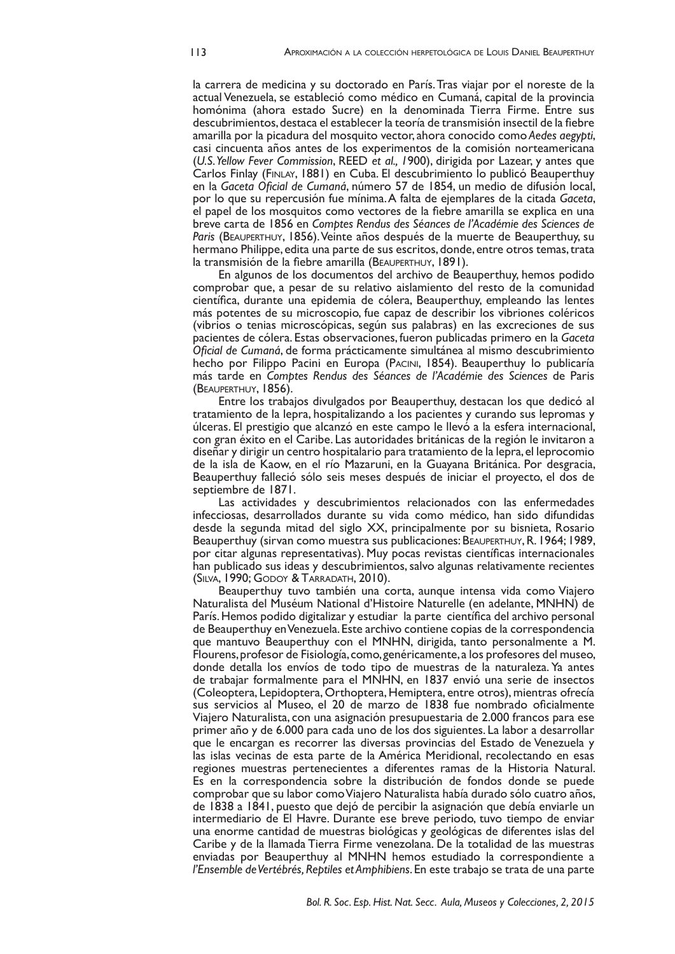la carrera de medicina y su doctorado en París. Tras viajar por el noreste de la actual Venezuela, se estableció como médico en Cumaná, capital de la provincia homónima (ahora estado Sucre) en la denominada Tierra Firme. Entre sus descubrimientos, destaca el establecer la teoría de transmisión insectil de la fiebre amarilla por la picadura del mosquito vector, ahora conocido como *Aedes aegypti*, casi cincuenta años antes de los experimentos de la comisión norteamericana (*U.S. Yellow Fever Commission*, REED *et al., 1*900), dirigida por Lazear, y antes que Carlos Finlay (Finlay, 1881) en Cuba. El descubrimiento lo publicó Beauperthuy en la *Gaceta Oficial de Cumaná*, número 57 de 1854, un medio de difusión local, por lo que su repercusión fue mínima. A falta de ejemplares de la citada *Gaceta*, el papel de los mosquitos como vectores de la fiebre amarilla se explica en una breve carta de 1856 en *Comptes Rendus des Séances de l'Académie des Sciences de Paris* (Beauperthuy, 1856). Veinte años después de la muerte de Beauperthuy, su hermano Philippe, edita una parte de sus escritos, donde, entre otros temas, trata la transmisión de la fiebre amarilla (Beauperthuy, 1891).

En algunos de los documentos del archivo de Beauperthuy, hemos podido comprobar que, a pesar de su relativo aislamiento del resto de la comunidad científica, durante una epidemia de cólera, Beauperthuy, empleando las lentes más potentes de su microscopio, fue capaz de describir los vibriones coléricos (vibrios o tenias microscópicas, según sus palabras) en las excreciones de sus pacientes de cólera. Estas observaciones, fueron publicadas primero en la *Gaceta Oficial de Cumaná*, de forma prácticamente simultánea al mismo descubrimiento hecho por Filippo Pacini en Europa (Pacini, 1854). Beauperthuy lo publicaría más tarde en *Comptes Rendus des Séances de l'Académie des Sciences* de Paris (Beauperthuy, 1856).

Entre los trabajos divulgados por Beauperthuy, destacan los que dedicó al tratamiento de la lepra, hospitalizando a los pacientes y curando sus lepromas y úlceras. El prestigio que alcanzó en este campo le llevó a la esfera internacional, con gran éxito en el Caribe. Las autoridades británicas de la región le invitaron a diseñar y dirigir un centro hospitalario para tratamiento de la lepra, el leprocomio de la isla de Kaow, en el río Mazaruni, en la Guayana Británica. Por desgracia, Beauperthuy falleció sólo seis meses después de iniciar el proyecto, el dos de septiembre de 1871.

Las actividades y descubrimientos relacionados con las enfermedades infecciosas, desarrollados durante su vida como médico, han sido difundidas desde la segunda mitad del siglo XX, principalmente por su bisnieta, Rosario Beauperthuy (sirvan como muestra sus publicaciones: BEAUPERTHUY, R. 1964; 1989, por citar algunas representativas). Muy pocas revistas científicas internacionales han publicado sus ideas y descubrimientos, salvo algunas relativamente recientes (Silva, 1990; Godoy & Tarradath, 2010).

Beauperthuy tuvo también una corta, aunque intensa vida como Viajero Naturalista del Muséum National d'Histoire Naturelle (en adelante, MNHN) de París. Hemos podido digitalizar y estudiar la parte científica del archivo personal de Beauperthuy en Venezuela. Este archivo contiene copias de la correspondencia que mantuvo Beauperthuy con el MNHN, dirigida, tanto personalmente a M. Flourens, profesor de Fisiología, como, genéricamente, a los profesores del museo, donde detalla los envíos de todo tipo de muestras de la naturaleza. Ya antes de trabajar formalmente para el MNHN, en 1837 envió una serie de insectos (Coleoptera, Lepidoptera, Orthoptera, Hemiptera, entre otros), mientras ofrecía sus servicios al Museo, el 20 de marzo de 1838 fue nombrado oficialmente Viajero Naturalista, con una asignación presupuestaria de 2.000 francos para ese primer año y de 6.000 para cada uno de los dos siguientes. La labor a desarrollar que le encargan es recorrer las diversas provincias del Estado de Venezuela y las islas vecinas de esta parte de la América Meridional, recolectando en esas regiones muestras pertenecientes a diferentes ramas de la Historia Natural. Es en la correspondencia sobre la distribución de fondos donde se puede comprobar que su labor como Viajero Naturalista había durado sólo cuatro años, de 1838 a 1841, puesto que dejó de percibir la asignación que debía enviarle un intermediario de El Havre. Durante ese breve periodo, tuvo tiempo de enviar una enorme cantidad de muestras biológicas y geológicas de diferentes islas del Caribe y de la llamada Tierra Firme venezolana. De la totalidad de las muestras enviadas por Beauperthuy al MNHN hemos estudiado la correspondiente a *l'Ensemble de Vertébrés, Reptiles et Amphibiens*. En este trabajo se trata de una parte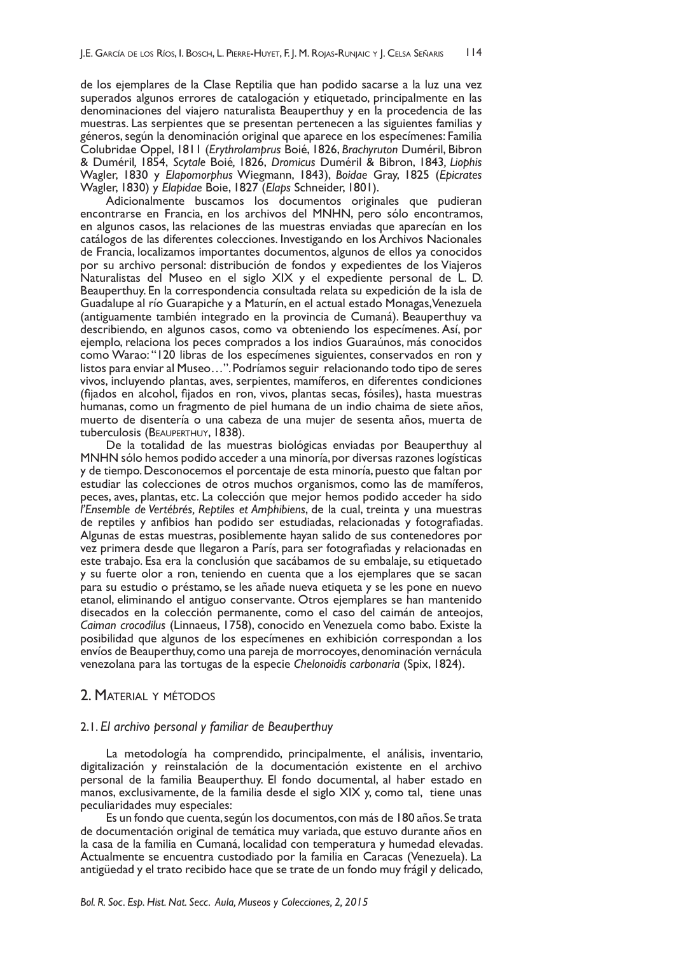de los ejemplares de la Clase Reptilia que han podido sacarse a la luz una vez superados algunos errores de catalogación y etiquetado, principalmente en las denominaciones del viajero naturalista Beauperthuy y en la procedencia de las muestras. Las serpientes que se presentan pertenecen a las siguientes familias y géneros, según la denominación original que aparece en los especímenes: Familia Colubridae Oppel, 1811 (*Erythrolamprus* Boié, 1826, *Brachyruton* Duméril, Bibron & Duméril*,* 1854, *Scytale* Boié*,* 1826, *Dromicus* Duméril & Bibron, 1843*, Liophis* Wagler, 1830 y *Elapomorphus* Wiegmann, 1843), *Boidae* Gray, 1825 (*Epicrates* Wagler, 1830) y *Elapidae* Boie, 1827 (*Elaps* Schneider, 1801).

Adicionalmente buscamos los documentos originales que pudieran encontrarse en Francia, en los archivos del MNHN, pero sólo encontramos, en algunos casos, las relaciones de las muestras enviadas que aparecían en los catálogos de las diferentes colecciones. Investigando en los Archivos Nacionales de Francia, localizamos importantes documentos, algunos de ellos ya conocidos por su archivo personal: distribución de fondos y expedientes de los Viajeros Naturalistas del Museo en el siglo XIX y el expediente personal de L. D. Beauperthuy. En la correspondencia consultada relata su expedición de la isla de Guadalupe al río Guarapiche y a Maturín, en el actual estado Monagas, Venezuela (antiguamente también integrado en la provincia de Cumaná). Beauperthuy va describiendo, en algunos casos, como va obteniendo los especímenes. Así, por ejemplo, relaciona los peces comprados a los indios Guaraúnos, más conocidos como Warao: "120 libras de los especímenes siguientes, conservados en ron y listos para enviar al Museo…". Podríamos seguir relacionando todo tipo de seres vivos, incluyendo plantas, aves, serpientes, mamíferos, en diferentes condiciones (fijados en alcohol, fijados en ron, vivos, plantas secas, fósiles), hasta muestras humanas, como un fragmento de piel humana de un indio chaima de siete años, muerto de disentería o una cabeza de una mujer de sesenta años, muerta de tuberculosis (Beauperthuy, 1838).

De la totalidad de las muestras biológicas enviadas por Beauperthuy al MNHN sólo hemos podido acceder a una minoría, por diversas razones logísticas y de tiempo. Desconocemos el porcentaje de esta minoría, puesto que faltan por estudiar las colecciones de otros muchos organismos, como las de mamíferos, peces, aves, plantas, etc. La colección que mejor hemos podido acceder ha sido *l'Ensemble de Vertébrés, Reptiles et Amphibiens*, de la cual, treinta y una muestras de reptiles y anfibios han podido ser estudiadas, relacionadas y fotografiadas. Algunas de estas muestras, posiblemente hayan salido de sus contenedores por vez primera desde que llegaron a París, para ser fotografiadas y relacionadas en este trabajo. Esa era la conclusión que sacábamos de su embalaje, su etiquetado y su fuerte olor a ron, teniendo en cuenta que a los ejemplares que se sacan para su estudio o préstamo, se les añade nueva etiqueta y se les pone en nuevo etanol, eliminando el antiguo conservante. Otros ejemplares se han mantenido disecados en la colección permanente, como el caso del caimán de anteojos, *Caiman crocodilus* (Linnaeus, 1758), conocido en Venezuela como babo. Existe la posibilidad que algunos de los especímenes en exhibición correspondan a los envíos de Beauperthuy, como una pareja de morrocoyes, denominación vernácula venezolana para las tortugas de la especie *Chelonoidis carbonaria* (Spix, 1824).

### 2. MATERIAL Y MÉTODOS

#### 2.1. *El archivo personal y familiar de Beauperthuy*

La metodología ha comprendido, principalmente, el análisis, inventario, digitalización y reinstalación de la documentación existente en el archivo personal de la familia Beauperthuy. El fondo documental, al haber estado en manos, exclusivamente, de la familia desde el siglo XIX y, como tal, tiene unas peculiaridades muy especiales:

Es un fondo que cuenta, según los documentos, con más de 180 años. Se trata de documentación original de temática muy variada, que estuvo durante años en la casa de la familia en Cumaná, localidad con temperatura y humedad elevadas. Actualmente se encuentra custodiado por la familia en Caracas (Venezuela). La antigüedad y el trato recibido hace que se trate de un fondo muy frágil y delicado,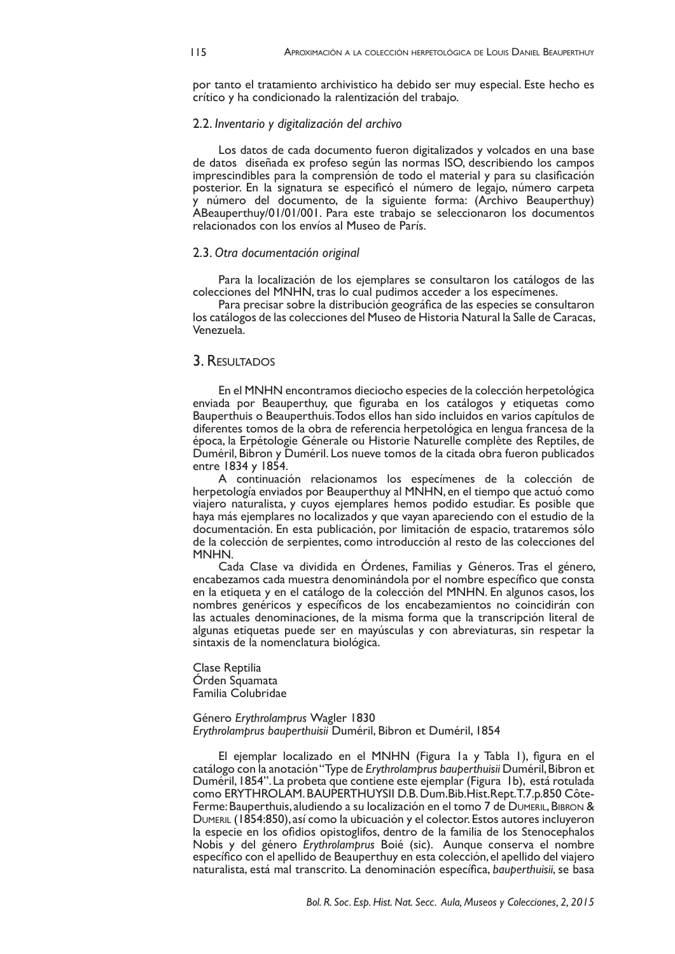por tanto el tratamiento archivistico ha debido ser muy especial. Este hecho es crítico y ha condicionado la ralentización del trabajo.

### 2.2. *Inventario y digitalización del archivo*

Los datos de cada documento fueron digitalizados y volcados en una base de datos diseñada ex profeso según las normas ISO, describiendo los campos imprescindibles para la comprensión de todo el material y para su clasificación posterior. En la signatura se especificó el número de legajo, número carpeta y número del documento, de la siguiente forma: (Archivo Beauperthuy) ABeauperthuy/01/01/001. Para este trabajo se seleccionaron los documentos relacionados con los envíos al Museo de París.

### 2.3. *Otra documentación original*

Para la localización de los ejemplares se consultaron los catálogos de las colecciones del MNHN, tras lo cual pudimos acceder a los especímenes.

Para precisar sobre la distribución geográfica de las especies se consultaron los catálogos de las colecciones del Museo de Historia Natural la Salle de Caracas, Venezuela.

## 3. Resultados

En el MNHN encontramos dieciocho especies de la colección herpetológica enviada por Beauperthuy, que figuraba en los catálogos y etiquetas como Bauperthuis o Beauperthuis. Todos ellos han sido incluidos en varios capítulos de diferentes tomos de la obra de referencia herpetológica en lengua francesa de la época, la Erpétologie Génerale ou Historie Naturelle complète des Reptiles, de Duméril, Bibron y Duméril. Los nueve tomos de la citada obra fueron publicados entre 1834 y 1854.

A continuación relacionamos los especímenes de la colección de herpetología enviados por Beauperthuy al MNHN, en el tiempo que actuó como viajero naturalista, y cuyos ejemplares hemos podido estudiar. Es posible que haya más ejemplares no localizados y que vayan apareciendo con el estudio de la documentación. En esta publicación, por limitación de espacio, trataremos sólo de la colección de serpientes, como introducción al resto de las colecciones del MNHN.

Cada Clase va dividida en Órdenes, Familias y Géneros. Tras el género, encabezamos cada muestra denominándola por el nombre específico que consta en la etiqueta y en el catálogo de la colección del MNHN. En algunos casos, los nombres genéricos y específicos de los encabezamientos no coincidirán con las actuales denominaciones, de la misma forma que la transcripción literal de algunas etiquetas puede ser en mayúsculas y con abreviaturas, sin respetar la sintaxis de la nomenclatura biológica.

Clase Reptilia Órden Squamata Familia Colubridae

Género *Erythrolamprus* Wagler 1830 *Erythrolamprus bauperthuisii* Duméril, Bibron et Duméril, 1854

El ejemplar localizado en el MNHN (Figura 1a y Tabla 1), figura en el catálogo con la anotación "Type de *Erythrolamprus bauperthuisii* Duméril, Bibron et Duméril, 1854". La probeta que contiene este ejemplar (Figura 1b), está rotulada como ERYTHROLAM. BAUPERTHUYSII D.B. Dum.Bib.Hist.Rept.T.7.p.850 Côte-Ferme: Bauperthuis, aludiendo a su localización en el tomo 7 de Dumeril, Bibron & Dumeril (1854:850), así como la ubicuación y el colector. Estos autores incluyeron la especie en los ofidios opistoglifos, dentro de la familia de los Stenocephalos Nobis y del género *Erythrolamprus* Boié (sic). Aunque conserva el nombre específico con el apellido de Beauperthuy en esta colección, el apellido del viajero naturalista, está mal transcrito. La denominación específica, *bauperthuisii*, se basa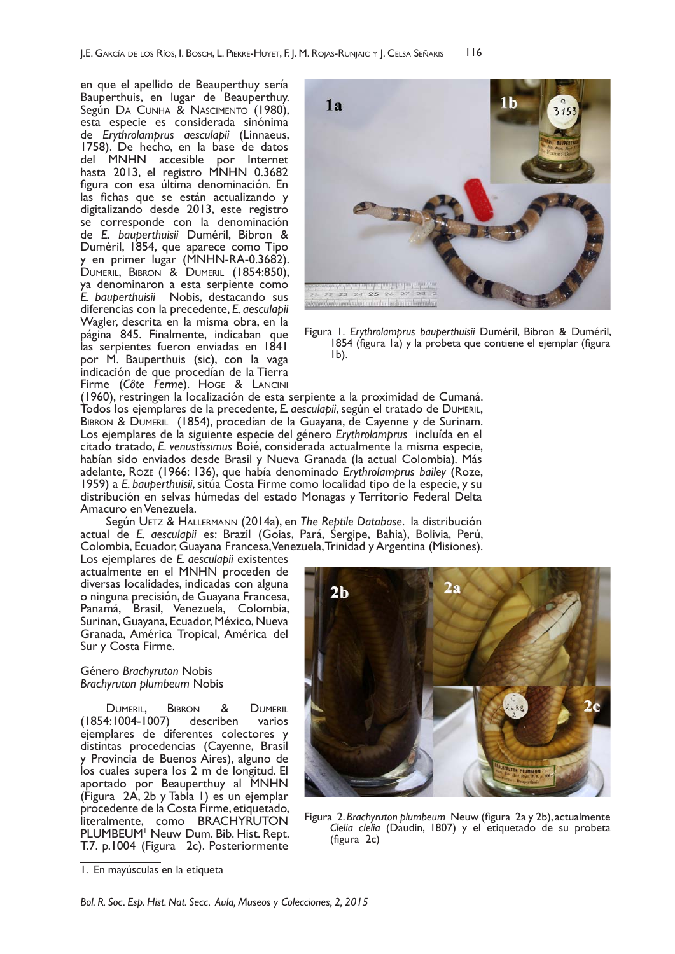en que el apellido de Beauperthuy sería Bauperthuis, en lugar de Beauperthuy. Según Da Cunha & Nascimento (1980), esta especie es considerada sinónima de *Erythrolamprus aesculapii* (Linnaeus, 1758). De hecho, en la base de datos del MNHN accesible por Internet hasta 2013, el registro MNHN 0.3682 figura con esa última denominación. En las fichas que se están actualizando y digitalizando desde 2013, este registro se corresponde con la denominación de *E. bauperthuisii* Duméril, Bibron & Duméril, 1854, que aparece como Tipo y en primer lugar (MNHN-RA-0.3682). Dumeril, Bibron & Dumeril (1854:850), ya denominaron a esta serpiente como *E. bauperthuisii* Nobis, destacando sus diferencias con la precedente, *E. aesculapii*  Wagler, descrita en la misma obra, en la página 845. Finalmente, indicaban que las serpientes fueron enviadas en 1841 por M. Bauperthuis (sic), con la vaga indicación de que procedían de la Tierra Firme (*Côte Ferme*). Hoge & Lancini



Figura 1. *Erythrolamprus bauperthuisii* Duméril, Bibron & Duméril, 1854 (figura 1a) y la probeta que contiene el ejemplar (figura 1b).

(1960), restringen la localización de esta serpiente a la proximidad de Cumaná. Todos los ejemplares de la precedente, *E. aesculapii*, según el tratado de Dumeril, Bibron & Dumeril (1854), procedían de la Guayana, de Cayenne y de Surinam. Los ejemplares de la siguiente especie del género *Erythrolamprus* incluída en el citado tratado, *E. venustissimus* Boié, considerada actualmente la misma especie, habían sido enviados desde Brasil y Nueva Granada (la actual Colombia)*.* Más adelante, Roze (1966: 136), que había denominado *Erythrolamprus bailey* (Roze, 1959) a *E. bauperthuisii*, sitúa Costa Firme como localidad tipo de la especie, y su distribución en selvas húmedas del estado Monagas y Territorio Federal Delta Amacuro en Venezuela.

Según Uetz & Hallermann (2014a), en *The Reptile Database*. la distribución actual de *E. aesculapii* es: Brazil (Goias, Pará, Sergipe, Bahia), Bolivia, Perú, Colombia, Ecuador, Guayana Francesa, Venezuela, Trinidad y Argentina (Misiones).

Los ejemplares de *E. aesculapii* existentes actualmente en el MNHN proceden de diversas localidades, indicadas con alguna o ninguna precisión, de Guayana Francesa, Panamá, Brasil, Venezuela, Colombia, Surinan, Guayana, Ecuador, México, Nueva Granada, América Tropical, América del Sur y Costa Firme.

Género *Brachyruton* Nobis *Brachyruton plumbeum* Nobis

Dumeril, Bibron & Dumeril (1854:1004-1007) describen varios ejemplares de diferentes colectores y distintas procedencias (Cayenne, Brasil y Provincia de Buenos Aires), alguno de los cuales supera los 2 m de longitud. El aportado por Beauperthuy al MNHN (Figura 2A, 2b y Tabla 1) es un ejemplar procedente de la Costa Firme, etiquetado, literalmente, como BRACHYRUTON PLUMBEUM<sup>1</sup> Neuw Dum. Bib. Hist. Rept. T.7. p.1004 (Figura 2c). Posteriormente



Figura 2. *Brachyruton plumbeum* Neuw (figura 2a y 2b), actualmente *Clelia clelia* (Daudin, 1807) y el etiquetado de su probeta (figura 2c)

<sup>1.</sup> En mayúsculas en la etiqueta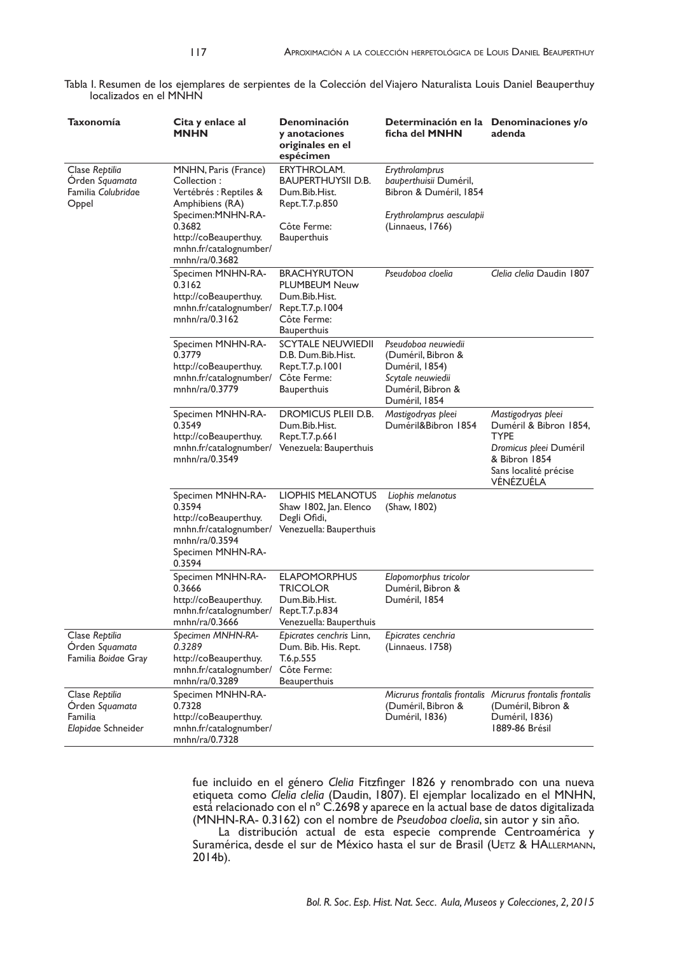| Tabla I. Resumen de los ejemplares de serpientes de la Colección del Viajero Naturalista Louis Daniel Beauperthuy |                        |  |  |  |  |
|-------------------------------------------------------------------------------------------------------------------|------------------------|--|--|--|--|
|                                                                                                                   | localizados en el MNHN |  |  |  |  |

| Taxonomía                                                         | Cita y enlace al<br>MNHN                                                                                                                                                              | Denominación<br>y anotaciones<br>originales en el<br>espécimen                                                      | Determinación en la Denominaciones y/o<br>ficha del MNHN                                                               | adenda                                                                                                                                       |
|-------------------------------------------------------------------|---------------------------------------------------------------------------------------------------------------------------------------------------------------------------------------|---------------------------------------------------------------------------------------------------------------------|------------------------------------------------------------------------------------------------------------------------|----------------------------------------------------------------------------------------------------------------------------------------------|
| Clase Reptilia<br>Orden Squamata<br>Familia Colubridae<br>Oppel   | MNHN, Paris (France)<br>Collection:<br>Vertébrés : Reptiles &<br>Amphibiens (RA)<br>Specimen: MNHN-RA-<br>0.3682<br>http://coBeauperthuy.<br>mnhn.fr/catalognumber/<br>mnhn/ra/0.3682 | ERYTHROLAM.<br><b>BAUPERTHUYSII D.B.</b><br>Dum.Bib.Hist.<br>Rept.T.7.p.850<br>Côte Ferme:<br><b>Bauperthuis</b>    | Erythrolamprus<br>bauperthuisii Duméril,<br>Bibron & Duméril, 1854<br>Erythrolamprus aesculapii<br>(Linnaeus, 1766)    |                                                                                                                                              |
|                                                                   | Specimen MNHN-RA-<br>0.3162<br>http://coBeauperthuy.<br>mnhn.fr/catalognumber/<br>mnhn/ra/0.3162                                                                                      | <b>BRACHYRUTON</b><br><b>PLUMBEUM Neuw</b><br>Dum.Bib.Hist.<br>Rept.T.7.p.1004<br>Côte Ferme:<br><b>Bauperthuis</b> | Pseudoboa cloelia                                                                                                      | Clelia clelia Daudin 1807                                                                                                                    |
|                                                                   | Specimen MNHN-RA-<br>0.3779<br>http://coBeauperthuy.<br>mnhn.fr/catalognumber/<br>mnhn/ra/0.3779                                                                                      | <b>SCYTALE NEUWIEDII</b><br>D.B. Dum.Bib.Hist.<br>Rept.T.7.p.1001<br>Côte Ferme:<br><b>Bauperthuis</b>              | Pseudoboa neuwiedii<br>(Duméril, Bibron &<br>Duméril, 1854)<br>Scytale neuwiedii<br>Duméril, Bibron &<br>Duméril, 1854 |                                                                                                                                              |
|                                                                   | Specimen MNHN-RA-<br>0.3549<br>http://coBeauperthuy.<br>mnhn.fr/catalognumber/<br>mnhn/ra/0.3549                                                                                      | <b>DROMICUS PLEII D.B.</b><br>Dum.Bib.Hist.<br>Rept.T.7.p.661<br>Venezuela: Bauperthuis                             | Mastigodryas pleei<br>Duméril&Bibron 1854                                                                              | Mastigodryas pleei<br>Duméril & Bibron 1854,<br><b>TYPE</b><br>Dromicus pleei Duméril<br>& Bibron 1854<br>Sans localité précise<br>VÉNÉZUÉLA |
|                                                                   | Specimen MNHN-RA-<br>0.3594<br>http://coBeauperthuy.<br>mnhn.fr/catalognumber/<br>mnhn/ra/0.3594<br>Specimen MNHN-RA-<br>0.3594                                                       | LIOPHIS MELANOTUS<br>Shaw 1802, Jan. Elenco<br>Degli Ofidi,<br>Venezuella: Bauperthuis                              | Liophis melanotus<br>(Shaw, 1802)                                                                                      |                                                                                                                                              |
|                                                                   | Specimen MNHN-RA-<br>0.3666<br>http://coBeauperthuy.<br>mnhn.fr/catalognumber/<br>mnhn/ra/0.3666                                                                                      | <b>ELAPOMORPHUS</b><br><b>TRICOLOR</b><br>Dum.Bib.Hist.<br>Rept.T.7.p.834<br>Venezuella: Bauperthuis                | Elapomorphus tricolor<br>Duméril, Bibron &<br>Duméril, 1854                                                            |                                                                                                                                              |
| Clase Reptilia<br>Órden Squamata<br>Familia Boidae Gray           | Specimen MNHN-RA-<br>0.3289<br>http://coBeauperthuy.<br>mnhn.fr/catalognumber/<br>mnhn/ra/0.3289                                                                                      | Epicrates cenchris Linn,<br>Dum. Bib. His. Rept.<br>T.6.p.555<br>Côte Ferme:<br><b>Beauperthuis</b>                 | Epicrates cenchria<br>(Linnaeus. 1758)                                                                                 |                                                                                                                                              |
| Clase Reptilia<br>Orden Squamata<br>Familia<br>Elapidae Schneider | Specimen MNHN-RA-<br>0.7328<br>http://coBeauperthuy.<br>mnhn.fr/catalognumber/<br>mnhn/ra/0.7328                                                                                      |                                                                                                                     | Micrurus frontalis frontalis Micrurus frontalis frontalis<br>(Duméril, Bibron &<br>Duméril, 1836)                      | (Duméril, Bibron &<br>Duméril, 1836)<br>1889-86 Brésil                                                                                       |

fue incluido en el género *Clelia* Fitzfinger 1826 y renombrado con una nueva etiqueta como *Clelia clelia* (Daudin, 1807). El ejemplar localizado en el MNHN, está relacionado con el nº C.2698 y aparece en la actual base de datos digitalizada (MNHN-RA- 0.3162) con el nombre de *Pseudoboa cloelia*, sin autor y sin año.

La distribución actual de esta especie comprende Centroamérica y Suramérica, desde el sur de México hasta el sur de Brasil (Uetz & HALLERMANN,<br>2014b).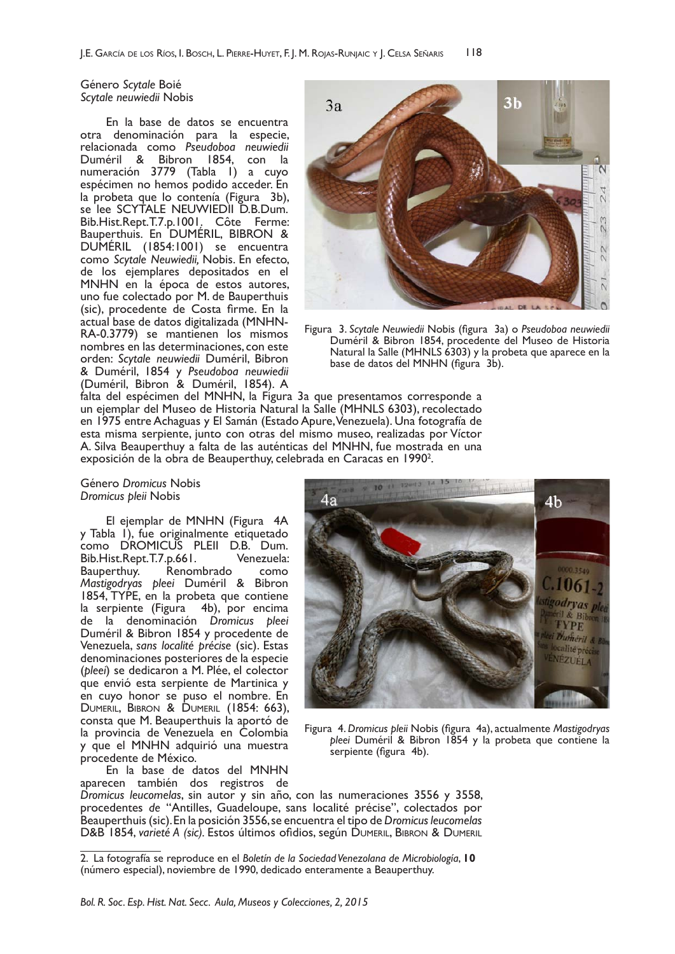Género *Scytale* Boié *Scytale neuwiedii* Nobis

En la base de datos se encuentra otra denominación para la especie, relacionada como *Pseudoboa neuwiedii* Duméril & Bibron 1854, con la numeración 3779 (Tabla 1) a cuyo espécimen no hemos podido acceder. En la probeta que lo contenía (Figura 3b), se lee SCYTALE NEUWIEDII D.B.Dum. Bib.Hist.Rept.T.7.p.1001, Côte Ferme: Bauperthuis. En DUMÉRIL, BIBRON & DUMÉRIL (1854:1001) se encuentra como *Scytale Neuwiedii,* Nobis. En efecto, de los ejemplares depositados en el MNHN en la época de estos autores, uno fue colectado por M. de Bauperthuis (sic), procedente de Costa firme. En la actual base de datos digitalizada (MNHN-RA-0.3779) se mantienen los mismos nombres en las determinaciones, con este orden: *Scytale neuwiedii* Duméril, Bibron & Duméril, 1854 y *Pseudoboa neuwiedii*  (Duméril, Bibron & Duméril, 1854). A



Figura 3. *Scytale Neuwiedii* Nobis (figura 3a) o *Pseudoboa neuwiedii* Duméril & Bibron 1854, procedente del Museo de Historia Natural la Salle (MHNLS 6303) y la probeta que aparece en la base de datos del MNHN (figura 3b).

falta del espécimen del MNHN, la Figura 3a que presentamos corresponde a un ejemplar del Museo de Historia Natural la Salle (MHNLS 6303), recolectado en 1975 entre Achaguas y El Samán (Estado Apure, Venezuela). Una fotografía de esta misma serpiente, junto con otras del mismo museo, realizadas por Víctor A. Silva Beauperthuy a falta de las auténticas del MNHN, fue mostrada en una exposición de la obra de Beauperthuy, celebrada en Caracas en 1990<sup>2</sup>.

Género *Dromicus* Nobis *Dromicus pleii* Nobis

El ejemplar de MNHN (Figura 4A y Tabla 1), fue originalmente etiquetado como DROMICUS PLEII D.B. Dum. Bib.Hist.Rept.T.7.p.661. Venezuela: Bauperthuy. Renombrado como *Mastigodryas pleei* Duméril & Bibron 1854, TYPE, en la probeta que contiene la serpiente (Figura 4b), por encima de la denominación *Dromicus pleei*  Duméril & Bibron 1854 y procedente de Venezuela, *sans localité précise* (sic). Estas denominaciones posteriores de la especie (*pleei*) se dedicaron a M. Plée, el colector que envió esta serpiente de Martinica y en cuyo honor se puso el nombre. En Dumeril, Bibron & Dumeril (1854: 663), consta que M. Beauperthuis la aportó de la provincia de Venezuela en Colombia y que el MNHN adquirió una muestra procedente de México.

En la base de datos del MNHN aparecen también dos registros de



Figura 4. *Dromicus pleii* Nobis (figura 4a), actualmente *Mastigodryas pleei* Duméril & Bibron 1854 y la probeta que contiene la serpiente (figura 4b).

*Dromicus leucomelas*, sin autor y sin año, con las numeraciones 3556 y 3558, procedentes *de* "Antilles, Guadeloupe, sans localité précise", colectados por Beauperthuis (sic). En la posición 3556, se encuentra el tipo de *Dromicus leucomelas*  D&B 1854, *varieté A (sic).* Estos últimos ofidios, según Dumeril, Bibron & Dumeril

<sup>2.</sup> La fotografía se reproduce en el *Boletín de la Sociedad Venezolana de Microbiología*, **10**  (número especial), noviembre de 1990, dedicado enteramente a Beauperthuy.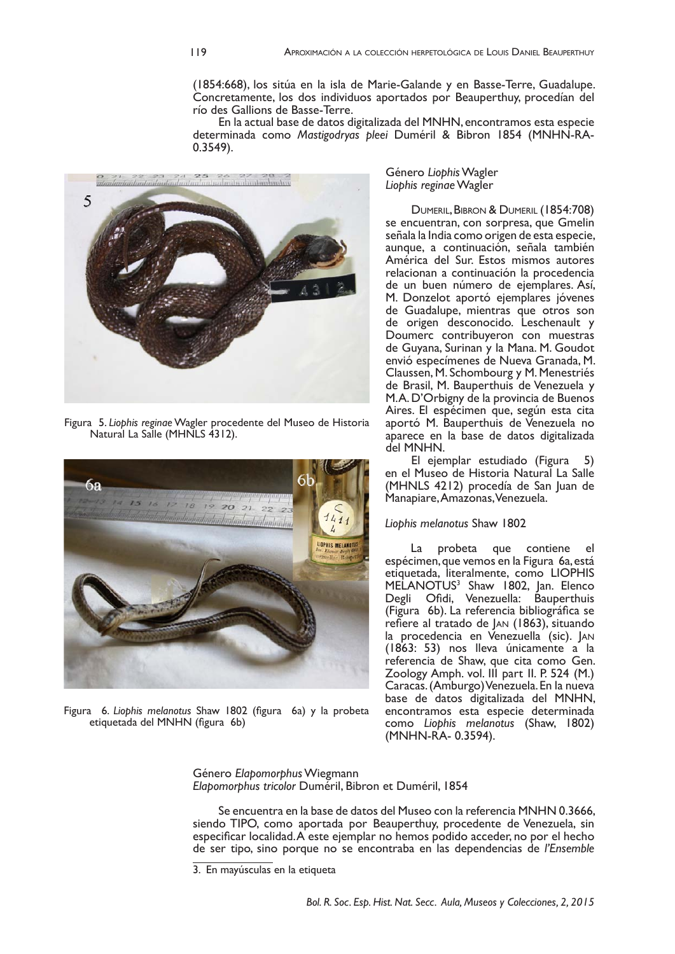(1854:668), los sitúa en la isla de Marie-Galande y en Basse-Terre, Guadalupe. Concretamente, los dos individuos aportados por Beauperthuy, procedían del río des Gallions de Basse-Terre.

En la actual base de datos digitalizada del MNHN, encontramos esta especie determinada como *Mastigodryas pleei* Duméril & Bibron 1854 (MNHN-RA-0.3549).



Figura 5. *Liophis reginae* Wagler procedente del Museo de Historia Natural La Salle (MHNLS 4312).



Figura 6. *Liophis melanotus* Shaw 1802 (figura 6a) y la probeta etiquetada del MNHN (figura 6b)

Género *Liophis* Wagler *Liophis reginae* Wagler

Dumeril, Bibron & Dumeril (1854:708) se encuentran, con sorpresa, que Gmelin señala la India como origen de esta especie, aunque, a continuación, señala también América del Sur. Estos mismos autores relacionan a continuación la procedencia de un buen número de ejemplares. Así, M. Donzelot aportó ejemplares jóvenes de Guadalupe, mientras que otros son de origen desconocido. Leschenault y Doumerc contribuyeron con muestras de Guyana, Surinan y la Mana. M. Goudot envió especímenes de Nueva Granada, M. Claussen, M. Schombourg y M. Menestriés de Brasil, M. Bauperthuis de Venezuela y M. A. D'Orbigny de la provincia de Buenos Aires. El espécimen que, según esta cita aportó M. Bauperthuis de Venezuela no aparece en la base de datos digitalizada del MNHN.

El ejemplar estudiado (Figura 5) en el Museo de Historia Natural La Salle (MHNLS 4212) procedía de San Juan de Manapiare, Amazonas, Venezuela.

#### *Liophis melanotus* Shaw 1802

La probeta que contiene el espécimen, que vemos en la Figura 6a, está etiquetada, literalmente, como LIOPHIS MELANOTUS<sup>3</sup> Shaw 1802, Jan. Elenco Degli Ofidi, Venezuella: Bauperthuis (Figura 6b). La referencia bibliográfica se refiere al tratado de Jan (1863), situando la procedencia en Venezuella (sic). Jan (1863: 53) nos lleva únicamente a la referencia de Shaw, que cita como Gen. Zoology Amph. vol. III part II. P. 524 (M.) Caracas. (Amburgo) Venezuela. En la nueva base de datos digitalizada del MNHN, encontramos esta especie determinada como *Liophis melanotus* (Shaw, 1802) (MNHN-RA- 0.3594).

Género *Elapomorphus* Wiegmann *Elapomorphus tricolor* Duméril, Bibron et Duméril, 1854

Se encuentra en la base de datos del Museo con la referencia MNHN 0.3666, siendo TIPO, como aportada por Beauperthuy, procedente de Venezuela, sin especificar localidad. A este ejemplar no hemos podido acceder, no por el hecho de ser tipo, sino porque no se encontraba en las dependencias de *l'Ensemble* 

<sup>3.</sup> En mayúsculas en la etiqueta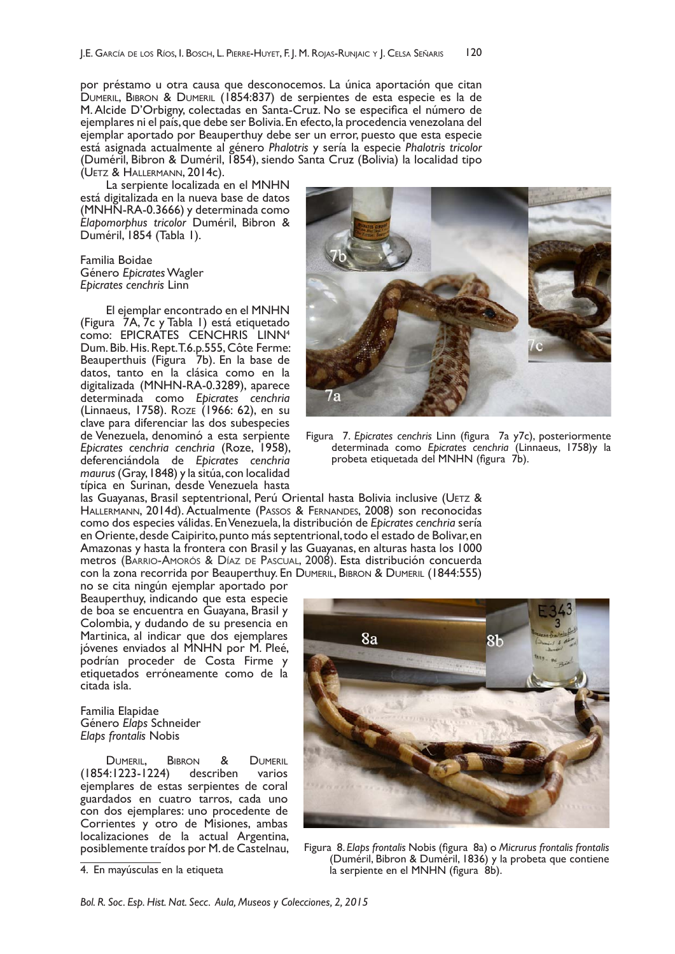por préstamo u otra causa que desconocemos. La única aportación que citan Dumeril, Bibron & Dumeril (1854:837) de serpientes de esta especie es la de M. Alcide D'Orbigny, colectadas en Santa-Cruz. No se especifica el número de ejemplares ni el país, que debe ser Bolivia. En efecto, la procedencia venezolana del ejemplar aportado por Beauperthuy debe ser un error, puesto que esta especie está asignada actualmente al género *Phalotris* y sería la especie *Phalotris tricolor*  (Duméril, Bibron & Duméril, 1854), siendo Santa Cruz (Bolivia) la localidad tipo (Uetz & Hallermann, 2014c).

La serpiente localizada en el MNHN está digitalizada en la nueva base de datos (MNHN-RA-0.3666) y determinada como *Elapomorphus tricolor* Duméril, Bibron & Duméril, 1854 (Tabla 1).

Familia Boidae Género *Epicrates* Wagler *Epicrates cenchris* Linn

El ejemplar encontrado en el MNHN (Figura 7A, 7c y Tabla 1) está etiquetado como: EPICRATES CENCHRIS LINN<sup>4</sup> Dum. Bib. His. Rept. T.6.p.555, Côte Ferme: Beauperthuis (Figura 7b). En la base de datos, tanto en la clásica como en la digitalizada (MNHN-RA-0.3289), aparece determinada como *Epicrates cenchria*  (Linnaeus, 1758). Roze (1966: 62), en su clave para diferenciar las dos subespecies de Venezuela, denominó a esta serpiente *Epicrates cenchria cenchria* (Roze, 1958), deferenciándola de *Epicrates cenchria maurus* (Gray, 1848) y la sitúa, con localidad típica en Surinan, desde Venezuela hasta



Figura 7. *Epicrates cenchris* Linn (figura 7a y7c), posteriormente determinada como *Epicrates cenchria* (Linnaeus, 1758)y la probeta etiquetada del MNHN (figura 7b).

las Guayanas, Brasil septentrional, Perú Oriental hasta Bolivia inclusive (Uetz & Hallermann, 2014d). Actualmente (Passos & Fernandes, 2008) son reconocidas como dos especies válidas. En Venezuela, la distribución de *Epicrates cenchria* sería en Oriente, desde Caipirito, punto más septentrional, todo el estado de Bolivar, en Amazonas y hasta la frontera con Brasil y las Guayanas, en alturas hasta los 1000 metros (BARRIO-AMORÓS & DÍAZ DE PASCUAL, 2008). Esta distribución concuerda con la zona recorrida por Beauperthuy. En Dumeril, Bibron & Dumeril (1844:555)

no se cita ningún ejemplar aportado por Beauperthuy, indicando que esta especie de boa se encuentra en Guayana, Brasil y Colombia, y dudando de su presencia en Martinica, al indicar que dos ejemplares jóvenes enviados al MNHN por M. Pleé, podrían proceder de Costa Firme y etiquetados erróneamente como de la citada isla.

Familia Elapidae Género *Elaps* Schneider *Elaps frontalis* Nobis

DUMERIL, BIBRON & DUMERIL<br>4:1223-1224) describen varios  $(1854:1223-1224)$ ejemplares de estas serpientes de coral guardados en cuatro tarros, cada uno con dos ejemplares: uno procedente de Corrientes y otro de Misiones, ambas localizaciones de la actual Argentina, posiblemente traídos por M. de Castelnau,



Figura 8. *Elaps frontalis* Nobis (figura 8a) o *Micrurus frontalis frontalis* (Duméril, Bibron & Duméril, 1836) y la probeta que contiene la serpiente en el MNHN (figura 8b).

<sup>4.</sup> En mayúsculas en la etiqueta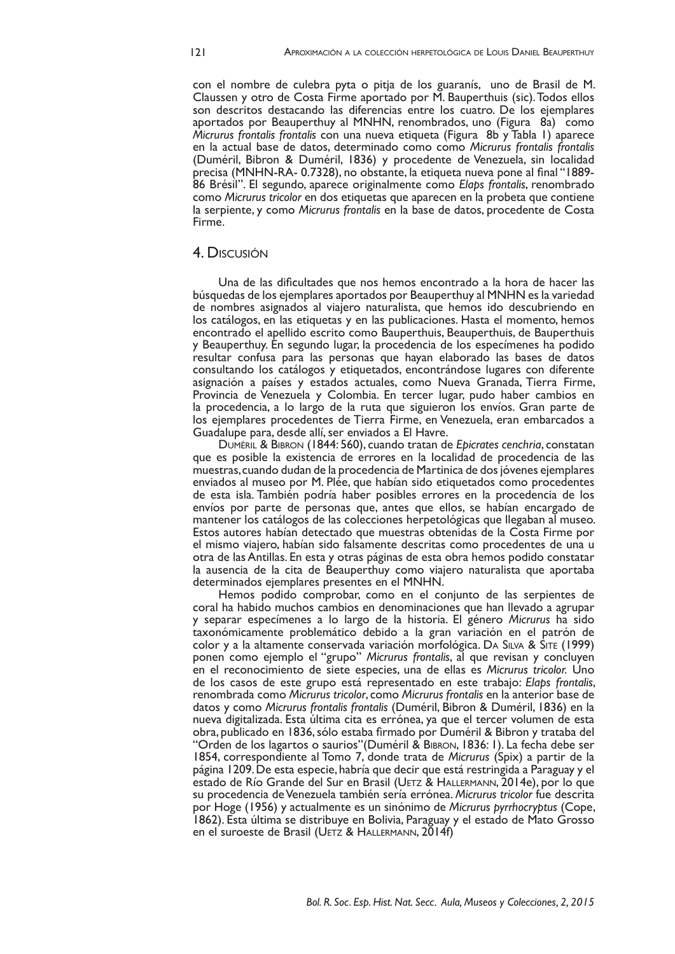con el nombre de culebra pyta o pitja de los guaranís, uno de Brasil de M. Claussen y otro de Costa Firme aportado por M. Bauperthuis (sic). Todos ellos son descritos destacando las diferencias entre los cuatro. De los ejemplares aportados por Beauperthuy al MNHN, renombrados, uno (Figura 8a) como *Micrurus frontalis frontalis* con una nueva etiqueta (Figura 8b y Tabla 1) aparece en la actual base de datos, determinado como como *Micrurus frontalis frontalis* (Duméril, Bibron & Duméril, 1836) y procedente de Venezuela, sin localidad precisa (MNHN-RA- 0.7328), no obstante, la etiqueta nueva pone al final "1889- 86 Brésil". El segundo, aparece originalmente como *Elaps frontalis*, renombrado como *Micrurus tricolor* en dos etiquetas que aparecen en la probeta que contiene la serpiente, y como *Micrurus frontalis* en la base de datos, procedente de Costa Firme.

## 4. Discusión

Una de las dificultades que nos hemos encontrado a la hora de hacer las búsquedas de los ejemplares aportados por Beauperthuy al MNHN es la variedad de nombres asignados al viajero naturalista, que hemos ido descubriendo en los catálogos, en las etiquetas y en las publicaciones. Hasta el momento, hemos encontrado el apellido escrito como Bauperthuis, Beauperthuis, de Bauperthuis y Beauperthuy. En segundo lugar, la procedencia de los especímenes ha podido resultar confusa para las personas que hayan elaborado las bases de datos consultando los catálogos y etiquetados, encontrándose lugares con diferente asignación a países y estados actuales, como Nueva Granada, Tierra Firme, Provincia de Venezuela y Colombia. En tercer lugar, pudo haber cambios en la procedencia, a lo largo de la ruta que siguieron los envíos. Gran parte de los ejemplares procedentes de Tierra Firme, en Venezuela, eran embarcados a Guadalupe para, desde allí, ser enviados a El Havre.

Duméril & Bibron (1844: 560), cuando tratan de *Epicrates cenchria*, constatan que es posible la existencia de errores en la localidad de procedencia de las muestras, cuando dudan de la procedencia de Martinica de dos jóvenes ejemplares enviados al museo por M. Plée, que habían sido etiquetados como procedentes de esta isla. También podría haber posibles errores en la procedencia de los envíos por parte de personas que, antes que ellos, se habían encargado de mantener los catálogos de las colecciones herpetológicas que llegaban al museo. Estos autores habían detectado que muestras obtenidas de la Costa Firme por el mismo viajero, habían sido falsamente descritas como procedentes de una u otra de las Antillas. En esta y otras páginas de esta obra hemos podido constatar la ausencia de la cita de Beauperthuy como viajero naturalista que aportaba determinados ejemplares presentes en el MNHN.

Hemos podido comprobar, como en el conjunto de las serpientes de coral ha habido muchos cambios en denominaciones que han llevado a agrupar y separar especímenes a lo largo de la historia. El género *Micrurus* ha sido taxonómicamente problemático debido a la gran variación en el patrón de color y a la altamente conservada variación morfológica. Da Silva & Site (1999) ponen como ejemplo el "grupo" *Micrurus frontalis*, al que revisan y concluyen en el reconocimiento de siete especies, una de ellas es *Micrurus tricolor.* Uno de los casos de este grupo está representado en este trabajo: *Elaps frontalis*, renombrada como *Micrurus tricolor*, como *Micrurus frontalis* en la anterior base de datos y como *Micrurus frontalis frontalis* (Duméril, Bibron & Duméril, 1836) en la nueva digitalizada. Esta última cita es errónea, ya que el tercer volumen de esta obra, publicado en 1836, sólo estaba firmado por Duméril & Bibron y trataba del "Orden de los lagartos o saurios"(Duméril & Bibron, 1836: 1). La fecha debe ser 1854, correspondiente al Tomo 7, donde trata de *Micrurus* (Spix) a partir de la página 1209. De esta especie, habría que decir que está restringida a Paraguay y el estado de Río Grande del Sur en Brasil (Uetz & Hallermann, 2014e), por lo que su procedencia de Venezuela también sería errónea. *Micrurus tricolor* fue descrita por Hoge (1956) y actualmente es un sinónimo de *Micrurus pyrrhocryptus* (Cope, 1862). Esta última se distribuye en Bolivia, Paraguay y el estado de Mato Grosso en el suroeste de Brasil (Uetz & Hallermann, 2014f)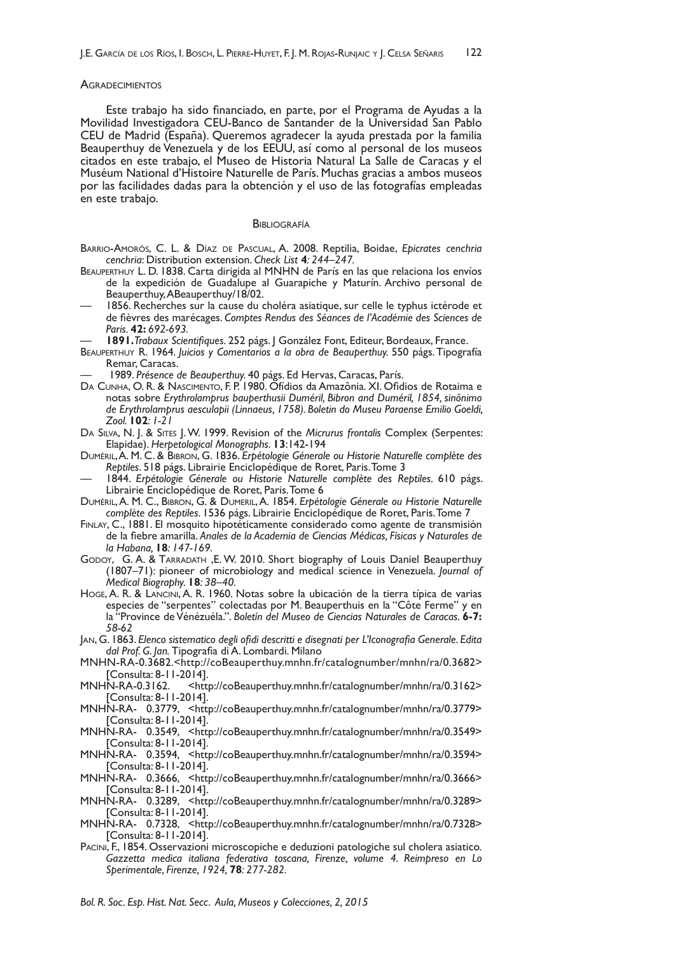#### **AGRADECIMIENTOS**

Este trabajo ha sido financiado, en parte, por el Programa de Ayudas a la Movilidad Investigadora CEU-Banco de Santander de la Universidad San Pablo CEU de Madrid (España). Queremos agradecer la ayuda prestada por la familia Beauperthuy de Venezuela y de los EEUU, así como al personal de los museos citados en este trabajo, el Museo de Historia Natural La Salle de Caracas y el Muséum National d'Histoire Naturelle de París. Muchas gracias a ambos museos por las facilidades dadas para la obtención y el uso de las fotografías empleadas en este trabajo.

#### **BIBLIOGRAFÍA**

- Barrio-Amorós, C. L. & Díaz de Pascual, A. 2008. Reptilia, Boidae, *Epicrates cenchria cenchria*: Distribution extension. *Check List* **4***: 244–247.*
- Beauperthuy L. D. 1838. Carta dirigida al MNHN de París en las que relaciona los envíos de la expedición de Guadalupe al Guarapiche y Maturín. Archivo personal de Beauperthuy, ABeauperthuy/18/02.
- 1856. Recherches sur la cause du choléra asiatique, sur celle le typhus ictérode et de fièvres des marécages. *Comptes Rendus des Séances de l'Académie des Sciences de Paris.* **42:** *692-693.*
- **1891.***Trabaux Scientifiques.* 252 págs. J González Font, Editeur, Bordeaux, France.
- Beauperthuy R. 1964. *Juicios y Comentarios a la obra de Beauperthuy.* 550 págs. Tipografía Remar, Caracas.
- 1989. *Présence de Beauperthuy.* 40 págs. Ed Hervas, Caracas, París.
- Da Cunha, O. R. & Nascimento, F. P. 1980. Ofídios da Amazônia. XI. Ofidios de Rotaima e notas sobre *Erythrolamprus bauperthusii Duméril, Bibron and Duméril, 1854, sinônimo de Erythrolamprus aesculapii (Linnaeus, 1758). Boletin do Museu Paraense Emilio Goeldi, Zool.* **102***: 1-21*
- Da Silva, N. J. & Sites J. W. 1999. Revision of the *Micrurus frontalis* Complex (Serpentes: Elapidae). *Herpetological Monographs.* **13**:142-194
- Duméril, A. M. C. & Bibron, G. 1836. *Erpétologie Génerale ou Historie Naturelle complète des Reptiles*. 518 págs. Librairie Enciclopédique de Roret, Paris. Tome 3
- 1844. *Erpétologie Génerale ou Historie Naturelle complète des Reptiles*. 610 págs. Librairie Enciclopédique de Roret, Paris. Tome 6
- Duméril, A. M. C., Bibron, G. & Dumeril, A. 1854. *Erpétologie Génerale ou Historie Naturelle complète des Reptiles*. 1536 págs. Librairie Enciclopédique de Roret, Paris. Tome 7
- Finlay, C., 1881. El mosquito hipotéticamente considerado como agente de transmisión de la fiebre amarilla. *Anales de la Academia de Ciencias Médicas, Físicas y Naturales de la Habana,* **18***: 147-169.*
- GODOY, G. A. & TARRADATH , E. W. 2010. Short biography of Louis Daniel Beauperthuy (1807–71): pioneer of microbiology and medical science in Venezuela. *Journal of Medical Biography.* **18***: 38–40.*
- Hoge, A. R. & Lancini, A. R. 1960. Notas sobre la ubicación de la tierra típica de varias especies de "serpentes" colectadas por M. Beauperthuis en la "Côte Ferme" y en la "Province de Vénézuéla.". *Boletín del Museo de Ciencias Naturales de Caracas.* **6-7:** *58-62*
- Jan, G. 1863. *Elenco sistematico degli ofidi descritti e disegnati per L'Iconografia Generale. Edita dal Prof. G. Jan.* Tipografia di A. Lombardi. Milano
- MNHN-RA-0.3682.<http://coBeauperthuy.mnhn.fr/catalognumber/mnhn/ra/0.3682> [Consulta: 8-11-2014].<br>MNHN-RA-0.3162. <htt
- <http://coBeauperthuy.mnhn.fr/catalognumber/mnhn/ra/0.3162> [Consulta: 8-11-2014].
- MNHN-RA- 0.3779, <http://coBeauperthuy.mnhn.fr/catalognumber/mnhn/ra/0.3779> [Consulta: 8-11-2014].
- MNHN-RA- 0.3549, <http://coBeauperthuy.mnhn.fr/catalognumber/mnhn/ra/0.3549> [Consulta: 8-11-2014].
- MNHN-RA- 0.3594, <http://coBeauperthuy.mnhn.fr/catalognumber/mnhn/ra/0.3594> [Consulta: 8-11-2014].
- MNHN-RA- 0.3666, <http://coBeauperthuy.mnhn.fr/catalognumber/mnhn/ra/0.3666> [Consulta: 8-11-2014].
- MNHN-RA- 0.3289, <http://coBeauperthuy.mnhn.fr/catalognumber/mnhn/ra/0.3289> [Consulta: 8-11-2014].
- MNHN-RA- 0.7328, <http://coBeauperthuy.mnhn.fr/catalognumber/mnhn/ra/0.7328> [Consulta: 8-11-2014].
- Pacini, F., 1854. Osservazioni microscopiche e deduzioni patologiche sul cholera asiatico. *Gazzetta medica italiana federativa toscana, Firenze, volume 4. Reimpreso en Lo Sperimentale, Firenze, 1924,* **78***: 277-282.*